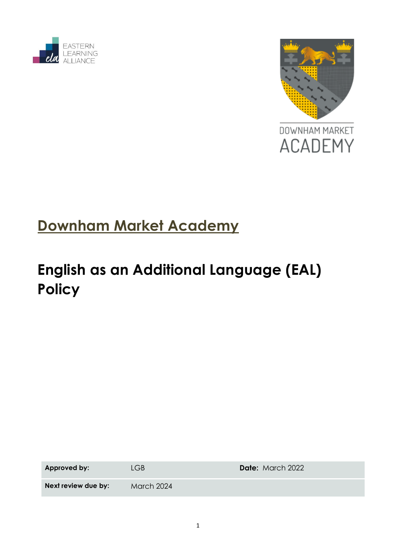



# **Downham Market Academy**

# **English as an Additional Language (EAL) Policy**

| Approved by:        | l GB.             | <b>Date:</b> March 2022 |
|---------------------|-------------------|-------------------------|
| Next review due by: | <b>March 2024</b> |                         |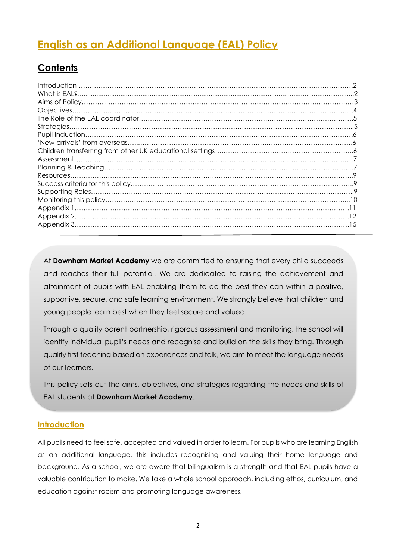# **English as an Additional Language (EAL) Policy**

### **Contents**

At **Downham Market Academy** we are committed to ensuring that every child succeeds and reaches their full potential. We are dedicated to raising the achievement and attainment of pupils with EAL enabling them to do the best they can within a positive, supportive, secure, and safe learning environment. We strongly believe that children and young people learn best when they feel secure and valued.

Through a quality parent partnership, rigorous assessment and monitoring, the school will identify individual pupil's needs and recognise and build on the skills they bring. Through quality first teaching based on experiences and talk, we aim to meet the language needs of our learners.

This policy sets out the aims, objectives, and strategies regarding the needs and skills of EAL students at **Downham Market Academy**.

#### **Introduction**

All pupils need to feel safe, accepted and valued in order to learn. For pupils who are learning English as an additional language, this includes recognising and valuing their home language and background. As a school, we are aware that bilingualism is a strength and that EAL pupils have a valuable contribution to make. We take a whole school approach, including ethos, curriculum, and education against racism and promoting language awareness.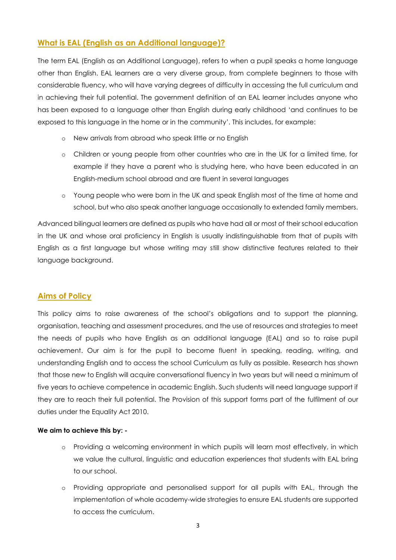#### **What is EAL (English as an Additional language)?**

The term EAL (English as an Additional Language), refers to when a pupil speaks a home language other than English. EAL learners are a very diverse group, from complete beginners to those with considerable fluency, who will have varying degrees of difficulty in accessing the full curriculum and in achieving their full potential. The government definition of an EAL learner includes anyone who has been exposed to a language other than English during early childhood 'and continues to be exposed to this language in the home or in the community'. This includes, for example:

- o New arrivals from abroad who speak little or no English
- o Children or young people from other countries who are in the UK for a limited time, for example if they have a parent who is studying here, who have been educated in an English-medium school abroad and are fluent in several languages
- o Young people who were born in the UK and speak English most of the time at home and school, but who also speak another language occasionally to extended family members.

Advanced bilingual learners are defined as pupils who have had all or most of their school education in the UK and whose oral proficiency in English is usually indistinguishable from that of pupils with English as a first language but whose writing may still show distinctive features related to their language background.

#### **Aims of Policy**

This policy aims to raise awareness of the school's obligations and to support the planning, organisation, teaching and assessment procedures, and the use of resources and strategies to meet the needs of pupils who have English as an additional language (EAL) and so to raise pupil achievement. Our aim is for the pupil to become fluent in speaking, reading, writing, and understanding English and to access the school Curriculum as fully as possible. Research has shown that those new to English will acquire conversational fluency in two years but will need a minimum of five years to achieve competence in academic English. Such students will need language support if they are to reach their full potential. The Provision of this support forms part of the fulfilment of our duties under the Equality Act 2010.

#### **We aim to achieve this by: -**

- o Providing a welcoming environment in which pupils will learn most effectively, in which we value the cultural, linguistic and education experiences that students with EAL bring to our school.
- o Providing appropriate and personalised support for all pupils with EAL, through the implementation of whole academy-wide strategies to ensure EAL students are supported to access the curriculum.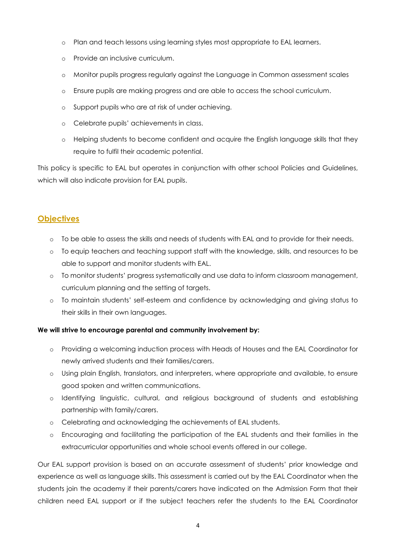- o Plan and teach lessons using learning styles most appropriate to EAL learners.
- o Provide an inclusive curriculum.
- o Monitor pupils progress regularly against the Language in Common assessment scales
- o Ensure pupils are making progress and are able to access the school curriculum.
- o Support pupils who are at risk of under achieving.
- o Celebrate pupils' achievements in class.
- o Helping students to become confident and acquire the English language skills that they require to fulfil their academic potential.

This policy is specific to EAL but operates in conjunction with other school Policies and Guidelines, which will also indicate provision for EAL pupils.

#### **Objectives**

- o To be able to assess the skills and needs of students with EAL and to provide for their needs.
- o To equip teachers and teaching support staff with the knowledge, skills, and resources to be able to support and monitor students with EAL.
- o To monitor students' progress systematically and use data to inform classroom management, curriculum planning and the setting of targets.
- o To maintain students' self-esteem and confidence by acknowledging and giving status to their skills in their own languages.

#### **We will strive to encourage parental and community involvement by:**

- o Providing a welcoming induction process with Heads of Houses and the EAL Coordinator for newly arrived students and their families/carers.
- o Using plain English, translators, and interpreters, where appropriate and available, to ensure good spoken and written communications.
- o Identifying linguistic, cultural, and religious background of students and establishing partnership with family/carers.
- o Celebrating and acknowledging the achievements of EAL students.
- o Encouraging and facilitating the participation of the EAL students and their families in the extracurricular opportunities and whole school events offered in our college.

Our EAL support provision is based on an accurate assessment of students' prior knowledge and experience as well as language skills. This assessment is carried out by the EAL Coordinator when the students join the academy if their parents/carers have indicated on the Admission Form that their children need EAL support or if the subject teachers refer the students to the EAL Coordinator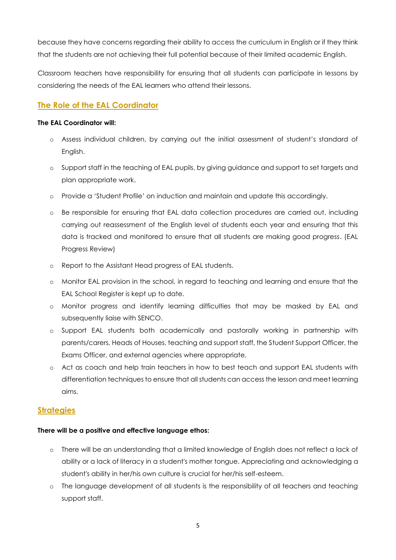because they have concerns regarding their ability to access the curriculum in English or if they think that the students are not achieving their full potential because of their limited academic English.

Classroom teachers have responsibility for ensuring that all students can participate in lessons by considering the needs of the EAL learners who attend their lessons.

#### **The Role of the EAL Coordinator**

#### **The EAL Coordinator will:**

- o Assess individual children, by carrying out the initial assessment of student's standard of English.
- o Support staff in the teaching of EAL pupils, by giving guidance and support to set targets and plan appropriate work.
- o Provide a 'Student Profile' on induction and maintain and update this accordingly.
- o Be responsible for ensuring that EAL data collection procedures are carried out, including carrying out reassessment of the English level of students each year and ensuring that this data is tracked and monitored to ensure that all students are making good progress. (EAL Progress Review)
- o Report to the Assistant Head progress of EAL students.
- o Monitor EAL provision in the school, in regard to teaching and learning and ensure that the EAL School Register is kept up to date.
- o Monitor progress and identify learning difficulties that may be masked by EAL and subsequently liaise with SENCO.
- o Support EAL students both academically and pastorally working in partnership with parents/carers, Heads of Houses, teaching and support staff, the Student Support Officer, the Exams Officer, and external agencies where appropriate.
- o Act as coach and help train teachers in how to best teach and support EAL students with differentiation techniques to ensure that all students can access the lesson and meet learning aims.

#### **Strategies**

#### **There will be a positive and effective language ethos:**

- o There will be an understanding that a limited knowledge of English does not reflect a lack of ability or a lack of literacy in a student's mother tongue. Appreciating and acknowledging a student's ability in her/his own culture is crucial for her/his self-esteem.
- o The language development of all students is the responsibility of all teachers and teaching support staff.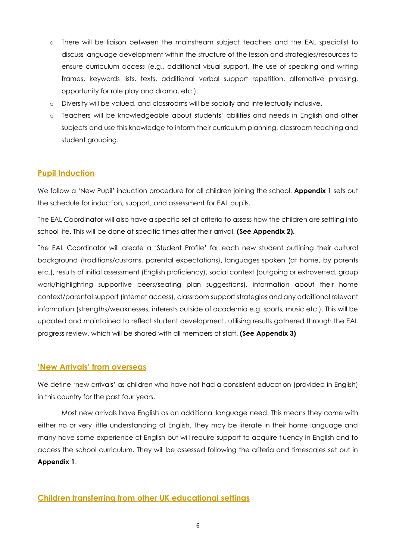- o There will be liaison between the mainstream subject teachers and the EAL specialist to discuss language development within the structure of the lesson and strategies/resources to ensure curriculum access (e.g., additional visual support, the use of speaking and writing frames, keywords lists, texts, additional verbal support repetition, alternative phrasing, opportunity for role play and drama, etc.).
- o Diversity will be valued, and classrooms will be socially and intellectually inclusive.
- o Teachers will be knowledgeable about students' abilities and needs in English and other subjects and use this knowledge to inform their curriculum planning, classroom teaching and student grouping.

#### **Pupil Induction**

We follow a 'New Pupil' induction procedure for all children joining the school. **Appendix 1** sets out the schedule for induction, support, and assessment for EAL pupils.

The EAL Coordinator will also have a specific set of criteria to assess how the children are settling into school life. This will be done at specific times after their arrival. **(See Appendix 2).** 

The EAL Coordinator will create a 'Student Profile' for each new student outlining their cultural background (traditions/customs, parental expectations), languages spoken (at home, by parents etc.), results of initial assessment (English proficiency), social context (outgoing or extroverted, group work/highlighting supportive peers/seating plan suggestions), information about their home context/parental support (internet access), classroom support strategies and any additional relevant information (strengths/weaknesses, interests outside of academia e.g. sports, music etc.). This will be updated and maintained to reflect student development, utilising results gathered through the EAL progress review, which will be shared with all members of staff. **(See Appendix 3)**

#### **'New Arrivals' from overseas**

We define 'new arrivals' as children who have not had a consistent education (provided in English) in this country for the past four years.

Most new arrivals have English as an additional language need. This means they come with either no or very little understanding of English. They may be literate in their home language and many have some experience of English but will require support to acquire fluency in English and to access the school curriculum. They will be assessed following the criteria and timescales set out in **Appendix 1**.

#### **Children transferring from other UK educational settings**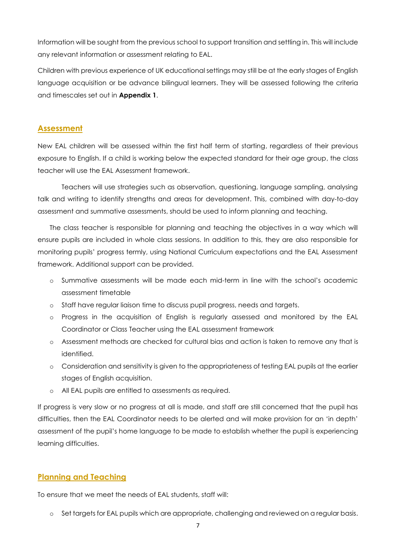Information will be sought from the previous school to support transition and settling in. This will include any relevant information or assessment relating to EAL.

Children with previous experience of UK educational settings may still be at the early stages of English language acquisition or be advance bilingual learners. They will be assessed following the criteria and timescales set out in **Appendix 1**.

#### **Assessment**

New EAL children will be assessed within the first half term of starting, regardless of their previous exposure to English. If a child is working below the expected standard for their age group, the class teacher will use the EAL Assessment framework.

Teachers will use strategies such as observation, questioning, language sampling, analysing talk and writing to identify strengths and areas for development. This, combined with day-to-day assessment and summative assessments, should be used to inform planning and teaching.

The class teacher is responsible for planning and teaching the objectives in a way which will ensure pupils are included in whole class sessions. In addition to this, they are also responsible for monitoring pupils' progress termly, using National Curriculum expectations and the EAL Assessment framework. Additional support can be provided.

- o Summative assessments will be made each mid-term in line with the school's academic assessment timetable
- o Staff have regular liaison time to discuss pupil progress, needs and targets.
- o Progress in the acquisition of English is regularly assessed and monitored by the EAL Coordinator or Class Teacher using the EAL assessment framework
- o Assessment methods are checked for cultural bias and action is taken to remove any that is identified.
- o Consideration and sensitivity is given to the appropriateness of testing EAL pupils at the earlier stages of English acquisition.
- o All EAL pupils are entitled to assessments as required.

If progress is very slow or no progress at all is made, and staff are still concerned that the pupil has difficulties, then the EAL Coordinator needs to be alerted and will make provision for an 'in depth' assessment of the pupil's home language to be made to establish whether the pupil is experiencing learning difficulties.

#### **Planning and Teaching**

To ensure that we meet the needs of EAL students, staff will:

o Set targets for EAL pupils which are appropriate, challenging and reviewed on a regular basis.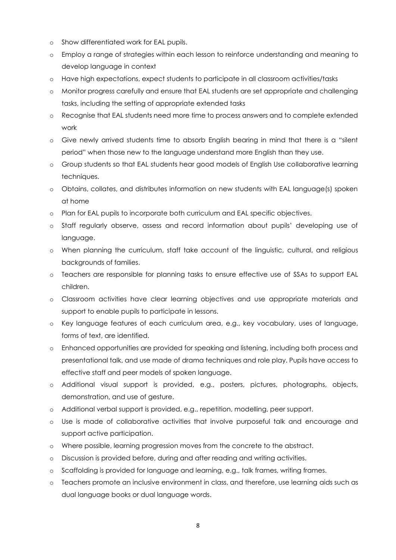- o Show differentiated work for EAL pupils.
- o Employ a range of strategies within each lesson to reinforce understanding and meaning to develop language in context
- o Have high expectations, expect students to participate in all classroom activities/tasks
- o Monitor progress carefully and ensure that EAL students are set appropriate and challenging tasks, including the setting of appropriate extended tasks
- o Recognise that EAL students need more time to process answers and to complete extended work
- o Give newly arrived students time to absorb English bearing in mind that there is a "silent period" when those new to the language understand more English than they use.
- o Group students so that EAL students hear good models of English Use collaborative learning techniques.
- o Obtains, collates, and distributes information on new students with EAL language(s) spoken at home
- o Plan for EAL pupils to incorporate both curriculum and EAL specific objectives.
- o Staff regularly observe, assess and record information about pupils' developing use of language.
- o When planning the curriculum, staff take account of the linguistic, cultural, and religious backgrounds of families.
- o Teachers are responsible for planning tasks to ensure effective use of SSAs to support EAL children.
- o Classroom activities have clear learning objectives and use appropriate materials and support to enable pupils to participate in lessons.
- o Key language features of each curriculum area, e.g., key vocabulary, uses of language, forms of text, are identified.
- o Enhanced opportunities are provided for speaking and listening, including both process and presentational talk, and use made of drama techniques and role play. Pupils have access to effective staff and peer models of spoken language.
- o Additional visual support is provided, e.g., posters, pictures, photographs, objects, demonstration, and use of gesture.
- o Additional verbal support is provided, e.g., repetition, modelling, peer support.
- o Use is made of collaborative activities that involve purposeful talk and encourage and support active participation.
- o Where possible, learning progression moves from the concrete to the abstract.
- o Discussion is provided before, during and after reading and writing activities.
- o Scaffolding is provided for language and learning, e.g., talk frames, writing frames.
- o Teachers promote an inclusive environment in class, and therefore, use learning aids such as dual language books or dual language words.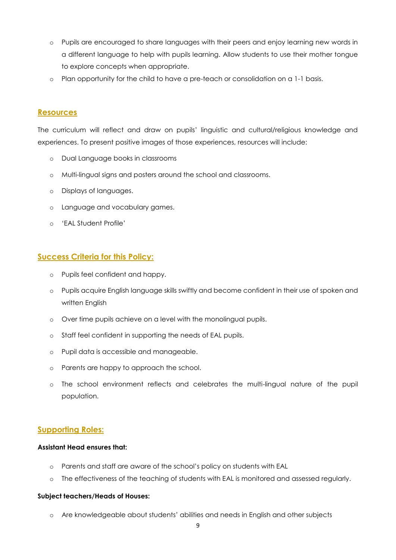- o Pupils are encouraged to share languages with their peers and enjoy learning new words in a different language to help with pupils learning. Allow students to use their mother tongue to explore concepts when appropriate.
- o Plan opportunity for the child to have a pre-teach or consolidation on a 1-1 basis.

#### **Resources**

The curriculum will reflect and draw on pupils' linguistic and cultural/religious knowledge and experiences. To present positive images of those experiences, resources will include:

- o Dual Language books in classrooms
- o Multi-lingual signs and posters around the school and classrooms.
- o Displays of languages.
- o Language and vocabulary games.
- o 'EAL Student Profile'

#### **Success Criteria for this Policy:**

- o Pupils feel confident and happy.
- o Pupils acquire English language skills swiftly and become confident in their use of spoken and written English
- o Over time pupils achieve on a level with the monolingual pupils.
- o Staff feel confident in supporting the needs of EAL pupils.
- o Pupil data is accessible and manageable.
- o Parents are happy to approach the school.
- o The school environment reflects and celebrates the multi-lingual nature of the pupil population.

#### **Supporting Roles:**

#### **Assistant Head ensures that:**

- o Parents and staff are aware of the school's policy on students with EAL
- o The effectiveness of the teaching of students with EAL is monitored and assessed regularly.

#### **Subject teachers/Heads of Houses:**

o Are knowledgeable about students' abilities and needs in English and other subjects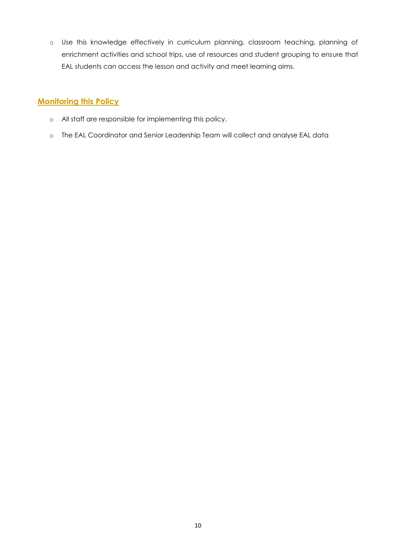o Use this knowledge effectively in curriculum planning, classroom teaching, planning of enrichment activities and school trips, use of resources and student grouping to ensure that EAL students can access the lesson and activity and meet learning aims.

#### **Monitoring this Policy**

- o All staff are responsible for implementing this policy.
- o The EAL Coordinator and Senior Leadership Team will collect and analyse EAL data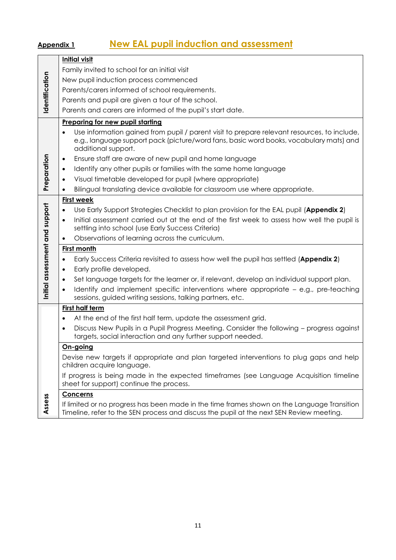# **Appendix 1 New EAL pupil induction and assessment**

|                                | <b>Initial visit</b>                                                                                                                                                                                         |  |  |  |  |
|--------------------------------|--------------------------------------------------------------------------------------------------------------------------------------------------------------------------------------------------------------|--|--|--|--|
|                                | Family invited to school for an initial visit                                                                                                                                                                |  |  |  |  |
|                                |                                                                                                                                                                                                              |  |  |  |  |
|                                | New pupil induction process commenced                                                                                                                                                                        |  |  |  |  |
| Identification                 | Parents/carers informed of school requirements.                                                                                                                                                              |  |  |  |  |
|                                | Parents and pupil are given a tour of the school.                                                                                                                                                            |  |  |  |  |
|                                | Parents and carers are informed of the pupil's start date.                                                                                                                                                   |  |  |  |  |
|                                | <b>Preparing for new pupil starting</b>                                                                                                                                                                      |  |  |  |  |
|                                | Use information gained from pupil / parent visit to prepare relevant resources, to include,<br>e.g., language support pack (picture/word fans, basic word books, vocabulary mats) and<br>additional support. |  |  |  |  |
|                                | Ensure staff are aware of new pupil and home language<br>$\bullet$                                                                                                                                           |  |  |  |  |
|                                | Identify any other pupils or families with the same home language<br>$\bullet$                                                                                                                               |  |  |  |  |
| Preparation                    | Visual timetable developed for pupil (where appropriate)<br>$\bullet$                                                                                                                                        |  |  |  |  |
|                                | Bilingual translating device available for classroom use where appropriate.<br>$\bullet$                                                                                                                     |  |  |  |  |
|                                | <b>First week</b>                                                                                                                                                                                            |  |  |  |  |
|                                | Use Early Support Strategies Checklist to plan provision for the EAL pupil (Appendix 2)<br>$\bullet$                                                                                                         |  |  |  |  |
|                                | Initial assessment carried out at the end of the first week to assess how well the pupil is<br>$\bullet$                                                                                                     |  |  |  |  |
|                                | settling into school (use Early Success Criteria)                                                                                                                                                            |  |  |  |  |
|                                | Observations of learning across the curriculum.<br>$\bullet$                                                                                                                                                 |  |  |  |  |
|                                | <b>First month</b>                                                                                                                                                                                           |  |  |  |  |
|                                | Early Success Criteria revisited to assess how well the pupil has settled (Appendix 2)<br>$\bullet$                                                                                                          |  |  |  |  |
|                                | Early profile developed.<br>$\bullet$                                                                                                                                                                        |  |  |  |  |
|                                | Set language targets for the learner or, if relevant, develop an individual support plan.<br>$\bullet$                                                                                                       |  |  |  |  |
| Initial assessment and support | Identify and implement specific interventions where appropriate - e.g., pre-teaching<br>$\bullet$<br>sessions, guided writing sessions, talking partners, etc.                                               |  |  |  |  |
|                                | <b>First half term</b>                                                                                                                                                                                       |  |  |  |  |
|                                | At the end of the first half term, update the assessment grid.<br>$\bullet$                                                                                                                                  |  |  |  |  |
|                                | Discuss New Pupils in a Pupil Progress Meeting. Consider the following - progress against<br>$\bullet$                                                                                                       |  |  |  |  |
|                                | targets, social interaction and any further support needed.                                                                                                                                                  |  |  |  |  |
|                                | On-going                                                                                                                                                                                                     |  |  |  |  |
|                                | Devise new targets if appropriate and plan targeted interventions to plug gaps and help<br>children acquire language.                                                                                        |  |  |  |  |
|                                | If progress is being made in the expected timeframes (see Language Acquisition timeline<br>sheet for support) continue the process.                                                                          |  |  |  |  |
|                                | Concerns                                                                                                                                                                                                     |  |  |  |  |
| Assess                         | If limited or no progress has been made in the time frames shown on the Language Transition<br>Timeline, refer to the SEN process and discuss the pupil at the next SEN Review meeting.                      |  |  |  |  |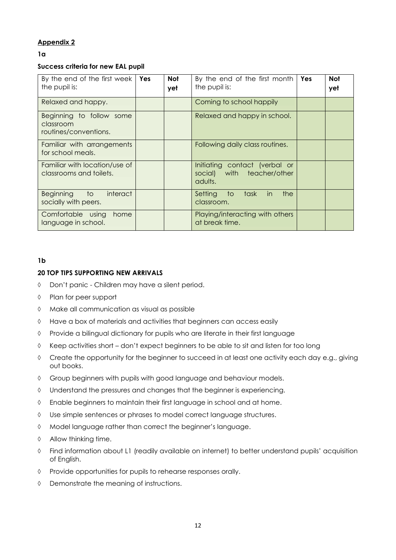#### **Appendix 2**

#### **1a**

#### **Success criteria for new EAL pupil**

| By the end of the first week<br>the pupil is:                  | <b>Yes</b> | Not<br>yet | By the end of the first month<br>the pupil is:                         | Yes | <b>Not</b><br>yet |
|----------------------------------------------------------------|------------|------------|------------------------------------------------------------------------|-----|-------------------|
| Relaxed and happy.                                             |            |            | Coming to school happily                                               |     |                   |
| Beginning to follow some<br>classroom<br>routines/conventions. |            |            | Relaxed and happy in school.                                           |     |                   |
| Familiar with arrangements<br>for school meals.                |            |            | Following daily class routines.                                        |     |                   |
| Familiar with location/use of<br>classrooms and toilets.       |            |            | Initiating contact (verbal or<br>social) with teacher/other<br>adults. |     |                   |
| interact<br>to to<br><b>Beginning</b><br>socially with peers.  |            |            | task<br>the<br>Setting<br>to<br>in in<br>classroom.                    |     |                   |
| Comfortable using<br>home<br>language in school.               |            |            | Playing/interacting with others<br>at break time.                      |     |                   |

#### **1b**

#### **20 TOP TIPS SUPPORTING NEW ARRIVALS**

- Don't panic Children may have a silent period.
- Plan for peer support
- Make all communication as visual as possible
- Have a box of materials and activities that beginners can access easily
- $\Diamond$  Provide a bilingual dictionary for pupils who are literate in their first language
- Keep activities short don't expect beginners to be able to sit and listen for too long
- $\Diamond$  Create the opportunity for the beginner to succeed in at least one activity each day e.g., giving out books.
- $\Diamond$  Group beginners with pupils with good language and behaviour models.
- Understand the pressures and changes that the beginner is experiencing.
- Enable beginners to maintain their first language in school and at home.
- Use simple sentences or phrases to model correct language structures.
- Model language rather than correct the beginner's language.
- $\Diamond$  Allow thinking time.
- Find information about L1 (readily available on internet) to better understand pupils' acquisition of English.
- Provide opportunities for pupils to rehearse responses orally.
- Demonstrate the meaning of instructions.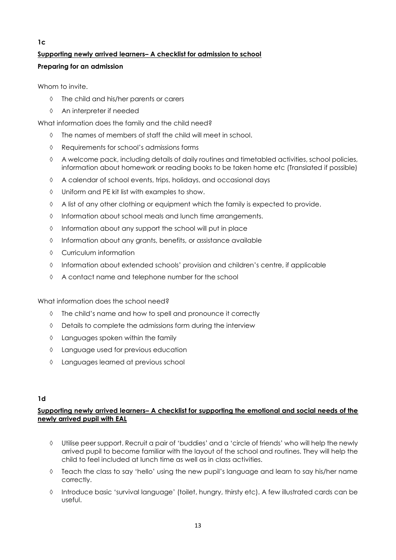### **1c Supporting newly arrived learners– A checklist for admission to school Preparing for an admission**

Whom to invite.

- The child and his/her parents or carers
- An interpreter if needed

What information does the family and the child need?

- The names of members of staff the child will meet in school.
- Requirements for school's admissions forms
- $\Diamond$  A welcome pack, including details of daily routines and timetabled activities, school policies, information about homework or reading books to be taken home etc (Translated if possible)
- A calendar of school events, trips, holidays, and occasional days
- Uniform and PE kit list with examples to show.
- $\Diamond$  A list of any other clothing or equipment which the family is expected to provide.
- $\Diamond$  Information about school meals and lunch time arrangements.
- $\Diamond$  Information about any support the school will put in place
- $\Diamond$  Information about any grants, benefits, or assistance available
- Curriculum information
- $\Diamond$  Information about extended schools' provision and children's centre, if applicable
- A contact name and telephone number for the school

What information does the school need?

- $\Diamond$  The child's name and how to spell and pronounce it correctly
- Details to complete the admissions form during the interview
- $\Diamond$  Languages spoken within the family
- $\Diamond$  Language used for previous education
- Languages learned at previous school

#### **1d**

#### **Supporting newly arrived learners– A checklist for supporting the emotional and social needs of the newly arrived pupil with EAL**

- Utilise peer support. Recruit a pair of 'buddies' and a 'circle of friends' who will help the newly arrived pupil to become familiar with the layout of the school and routines. They will help the child to feel included at lunch time as well as in class activities.
- $\Diamond$  Teach the class to say 'hello' using the new pupil's language and learn to say his/her name correctly.
- $\Diamond$  Introduce basic 'survival language' (toilet, hungry, thirsty etc). A few illustrated cards can be useful.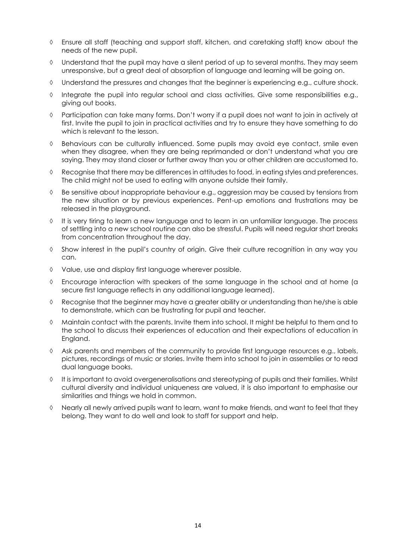- Ensure all staff (teaching and support staff, kitchen, and caretaking staff) know about the needs of the new pupil.
- Understand that the pupil may have a silent period of up to several months. They may seem unresponsive, but a great deal of absorption of language and learning will be going on.
- Understand the pressures and changes that the beginner is experiencing e.g., culture shock.
- $\Diamond$  Integrate the pupil into regular school and class activities. Give some responsibilities e.g., giving out books.
- Participation can take many forms. Don't worry if a pupil does not want to join in actively at first. Invite the pupil to join in practical activities and try to ensure they have something to do which is relevant to the lesson.
- $\Diamond$  Behaviours can be culturally influenced. Some pupils may avoid eye contact, smile even when they disagree, when they are being reprimanded or don't understand what you are saying. They may stand closer or further away than you or other children are accustomed to.
- $\Diamond$  Recognise that there may be differences in attitudes to food, in eating styles and preferences. The child might not be used to eating with anyone outside their family.
- Be sensitive about inappropriate behaviour e.g., aggression may be caused by tensions from the new situation or by previous experiences. Pent-up emotions and frustrations may be released in the playground.
- $\Diamond$  It is very tiring to learn a new language and to learn in an unfamiliar language. The process of settling into a new school routine can also be stressful. Pupils will need regular short breaks from concentration throughout the day.
- $\Diamond$  Show interest in the pupil's country of origin. Give their culture recognition in any way you can.
- Value, use and display first language wherever possible.
- $\Diamond$  Encourage interaction with speakers of the same language in the school and at home (a secure first language reflects in any additional language learned).
- $\Diamond$  Recognise that the beginner may have a greater ability or understanding than he/she is able to demonstrate, which can be frustrating for pupil and teacher.
- $\Diamond$  Maintain contact with the parents. Invite them into school. It might be helpful to them and to the school to discuss their experiences of education and their expectations of education in England.
- $\Diamond$  Ask parents and members of the community to provide first language resources e.g., labels, pictures, recordings of music or stories. Invite them into school to join in assemblies or to read dual language books.
- $\Diamond$  It is important to avoid overgeneralisations and stereotyping of pupils and their families. Whilst cultural diversity and individual uniqueness are valued, it is also important to emphasise our similarities and things we hold in common.
- $\Diamond$  Nearly all newly arrived pupils want to learn, want to make friends, and want to feel that they belong. They want to do well and look to staff for support and help.